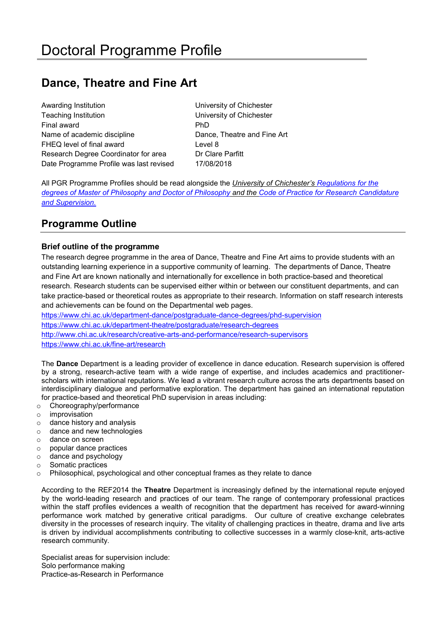# **Dance, Theatre and Fine Art**

Awarding Institution **Nation** University of Chichester Teaching Institution University of Chichester Final award PhD Name of academic discipline Dance, Theatre and Fine Art FHEQ level of final award **Level 8** Research Degree Coordinator for area **Dr Clare Parfitt** Date Programme Profile was last revised 17/08/2018

All PGR Programme Profiles should be read alongside the *University of Chichester's [Regulations for the](http://www.chi.ac.uk/%3Cfront%3E/about-us/how-we-work/policies/academic-policies)  [degrees of Master of Philosophy and Doctor of Philosophy](http://www.chi.ac.uk/%3Cfront%3E/about-us/how-we-work/policies/academic-policies) and the [Code of Practice for Research Candidature](https://www.chi.ac.uk/about-us/policies-and-statements/academic-and-student-support)  [and Supervision.](https://www.chi.ac.uk/about-us/policies-and-statements/academic-and-student-support)*

# **Programme Outline**

# **Brief outline of the programme**

The research degree programme in the area of Dance, Theatre and Fine Art aims to provide students with an outstanding learning experience in a supportive community of learning. The departments of Dance, Theatre and Fine Art are known nationally and internationally for excellence in both practice-based and theoretical research. Research students can be supervised either within or between our constituent departments, and can take practice-based or theoretical routes as appropriate to their research. Information on staff research interests and achievements can be found on the Departmental web pages.

<https://www.chi.ac.uk/department-dance/postgraduate-dance-degrees/phd-supervision> <https://www.chi.ac.uk/department-theatre/postgraduate/research-degrees> <http://www.chi.ac.uk/research/creative-arts-and-performance/research-supervisors> <https://www.chi.ac.uk/fine-art/research>

The **Dance** Department is a leading provider of excellence in dance education. Research supervision is offered by a strong, research-active team with a wide range of expertise, and includes academics and practitionerscholars with international reputations. We lead a vibrant research culture across the arts departments based on interdisciplinary dialogue and performative exploration. The department has gained an international reputation for practice-based and theoretical PhD supervision in areas including:

- o Choreography/performance
- o improvisation
- o dance history and analysis
- o dance and new technologies
- o dance on screen
- o popular dance practices
- o dance and psychology
- o Somatic practices
- $\circ$  Philosophical, psychological and other conceptual frames as they relate to dance

According to the REF2014 the **Theatre** Department is increasingly defined by the international repute enjoyed by the world-leading research and practices of our team. The range of contemporary professional practices within the staff profiles evidences a wealth of recognition that the department has received for award-winning performance work matched by generative critical paradigms. Our culture of creative exchange celebrates diversity in the processes of research inquiry. The vitality of challenging practices in theatre, drama and live arts is driven by individual accomplishments contributing to collective successes in a warmly close-knit, arts-active research community.

Specialist areas for supervision include: Solo performance making Practice-as-Research in Performance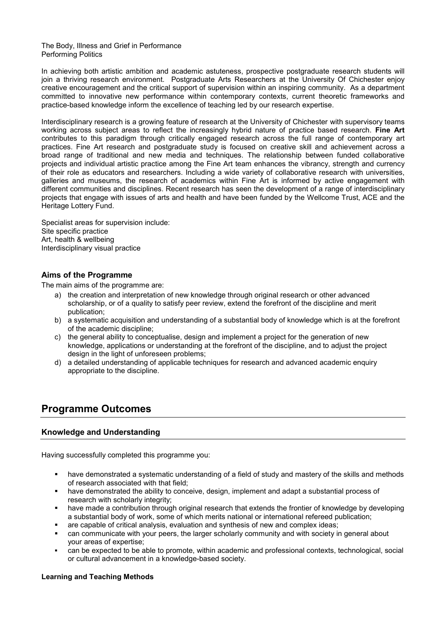The Body, Illness and Grief in Performance Performing Politics

In achieving both artistic ambition and academic astuteness, prospective postgraduate research students will join a thriving research environment. Postgraduate Arts Researchers at the University Of Chichester enjoy creative encouragement and the critical support of supervision within an inspiring community. As a department committed to innovative new performance within contemporary contexts, current theoretic frameworks and practice-based knowledge inform the excellence of teaching led by our research expertise.

Interdisciplinary research is a growing feature of research at the University of Chichester with supervisory teams working across subject areas to reflect the increasingly hybrid nature of practice based research. **Fine Art** contributes to this paradigm through critically engaged research across the full range of contemporary art practices. Fine Art research and postgraduate study is focused on creative skill and achievement across a broad range of traditional and new media and techniques. The relationship between funded collaborative projects and individual artistic practice among the Fine Art team enhances the vibrancy, strength and currency of their role as educators and researchers. Including a wide variety of collaborative research with universities, galleries and museums, the research of academics within Fine Art is informed by active engagement with different communities and disciplines. Recent research has seen the development of a range of interdisciplinary projects that engage with issues of arts and health and have been funded by the Wellcome Trust, ACE and the Heritage Lottery Fund.

Specialist areas for supervision include: Site specific practice Art, health & wellbeing Interdisciplinary visual practice

### **Aims of the Programme**

The main aims of the programme are:

- a) the creation and interpretation of new knowledge through original research or other advanced scholarship, or of a quality to satisfy peer review, extend the forefront of the discipline and merit publication;
- b) a systematic acquisition and understanding of a substantial body of knowledge which is at the forefront of the academic discipline;
- c) the general ability to conceptualise, design and implement a project for the generation of new knowledge, applications or understanding at the forefront of the discipline, and to adjust the project design in the light of unforeseen problems;
- d) a detailed understanding of applicable techniques for research and advanced academic enquiry appropriate to the discipline.

# **Programme Outcomes**

### **Knowledge and Understanding**

Having successfully completed this programme you:

- have demonstrated a systematic understanding of a field of study and mastery of the skills and methods of research associated with that field;
- have demonstrated the ability to conceive, design, implement and adapt a substantial process of research with scholarly integrity;
- have made a contribution through original research that extends the frontier of knowledge by developing a substantial body of work, some of which merits national or international refereed publication;
- are capable of critical analysis, evaluation and synthesis of new and complex ideas;
- can communicate with your peers, the larger scholarly community and with society in general about your areas of expertise;
- can be expected to be able to promote, within academic and professional contexts, technological, social or cultural advancement in a knowledge-based society.

### **Learning and Teaching Methods**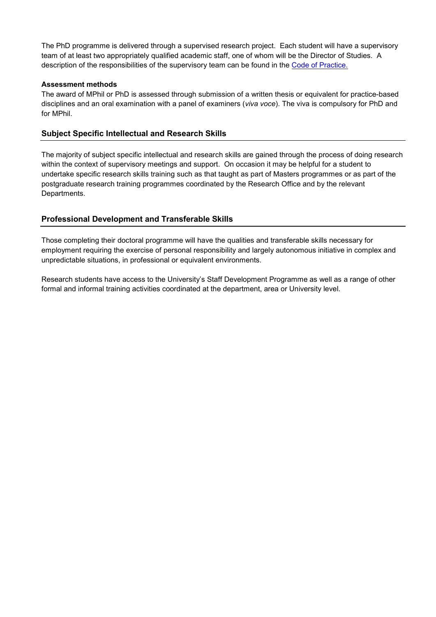The PhD programme is delivered through a supervised research project. Each student will have a supervisory team of at least two appropriately qualified academic staff, one of whom will be the Director of Studies. A description of the responsibilities of the supervisory team can be found in the [Code of Practice.](https://www.chi.ac.uk/about-us/policies-and-statements/academic-and-student-support) 

### **Assessment methods**

The award of MPhil or PhD is assessed through submission of a written thesis or equivalent for practice-based disciplines and an oral examination with a panel of examiners (*viva voce*). The viva is compulsory for PhD and for MPhil.

### **Subject Specific Intellectual and Research Skills**

The majority of subject specific intellectual and research skills are gained through the process of doing research within the context of supervisory meetings and support. On occasion it may be helpful for a student to undertake specific research skills training such as that taught as part of Masters programmes or as part of the postgraduate research training programmes coordinated by the Research Office and by the relevant Departments.

### **Professional Development and Transferable Skills**

Those completing their doctoral programme will have the qualities and transferable skills necessary for employment requiring the exercise of personal responsibility and largely autonomous initiative in complex and unpredictable situations, in professional or equivalent environments.

Research students have access to the University's Staff Development Programme as well as a range of other formal and informal training activities coordinated at the department, area or University level.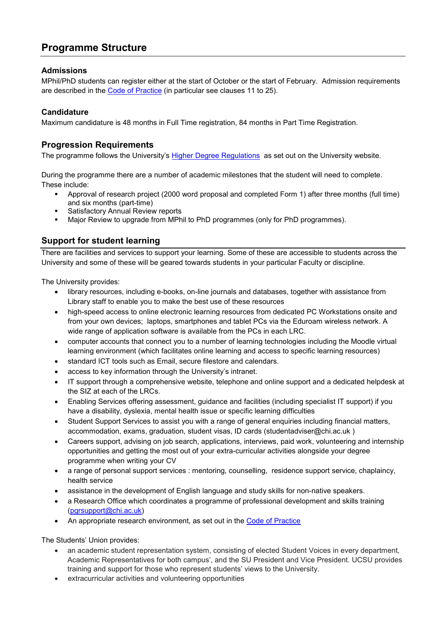# **Programme Structure**

# **Admissions**

MPhil/PhD students can register either at the start of October or the start of February. Admission requirements are described in the [Code of Practice](https://d3mcbia3evjswv.cloudfront.net/files/University%20of%20Chichester%20Code%20of%20Practice%20for%20Research%20Candidature%20and%20S....pdf?nNoumLnnqk6F3wNKPvrJ0.2Z96Tctj0r) (in particular see clauses 11 to 25).

## **Candidature**

Maximum candidature is 48 months in Full Time registration, 84 months in Part Time Registration.

# **Progression Requirements**

The programme follows the University's [Higher Degree Regulations](https://d3mcbia3evjswv.cloudfront.net/files/University%20of%20Chichester%20Higher%20Degree%20Regulations%202017-18%20(REGS&Appendi....pdf?3VJQNTihxlL36R5pmBrxKUvPYfRtvTw0) as set out on the University website.

During the programme there are a number of academic milestones that the student will need to complete. These include:

- Approval of research project (2000 word proposal and completed Form 1) after three months (full time) and six months (part-time)
- **Satisfactory Annual Review reports**
- Major Review to upgrade from MPhil to PhD programmes (only for PhD programmes).

# **Support for student learning**

There are facilities and services to support your learning. Some of these are accessible to students across the University and some of these will be geared towards students in your particular Faculty or discipline.

The University provides:

- library resources, including e-books, on-line journals and databases, together with assistance from Library staff to enable you to make the best use of these resources
- high-speed access to online electronic learning resources from dedicated PC Workstations onsite and from your own devices; laptops, smartphones and tablet PCs via the Eduroam wireless network. A wide range of application software is available from the PCs in each LRC.
- computer accounts that connect you to a number of learning technologies including the Moodle virtual learning environment (which facilitates online learning and access to specific learning resources)
- standard ICT tools such as Email, secure filestore and calendars.
- access to key information through the University's intranet.
- IT support through a comprehensive website, telephone and online support and a dedicated helpdesk at the SIZ at each of the LRCs.
- Enabling Services offering assessment, guidance and facilities (including specialist IT support) if you have a disability, dyslexia, mental health issue or specific learning difficulties
- Student Support Services to assist you with a range of general enquiries including financial matters, accommodation, exams, graduation, student visas, ID cards (studentadviser@chi.ac.uk )
- Careers support, advising on job search, applications, interviews, paid work, volunteering and internship opportunities and getting the most out of your extra-curricular activities alongside your degree programme when writing your CV
- a range of personal support services : mentoring, counselling, residence support service, chaplaincy, health service
- assistance in the development of English language and study skills for non-native speakers.
- a Research Office which coordinates a programme of professional development and skills training [\(pgrsupport@chi.ac.uk\)](mailto:pgrsupport@chi.ac.uk)
- An appropriate research environment, as set out in the [Code of Practice](https://d3mcbia3evjswv.cloudfront.net/files/University%20of%20Chichester%20Code%20of%20Practice%20for%20Research%20Candidature%20and%20S....pdf?nNoumLnnqk6F3wNKPvrJ0.2Z96Tctj0r)

The Students' Union provides:

- an academic student representation system, consisting of elected Student Voices in every department, Academic Representatives for both campus', and the SU President and Vice President. UCSU provides training and support for those who represent students' views to the University.
- extracurricular activities and volunteering opportunities